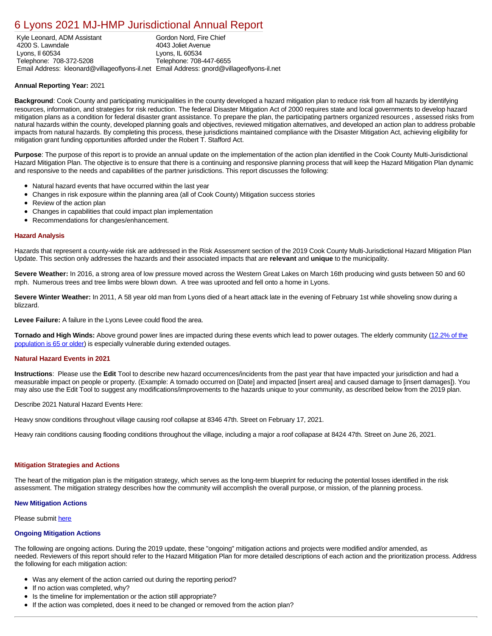# [6 Lyons 2021 MJ-HMP Jurisdictional Annual Report](https://lyons.isc-cemp.com/Cemp/Details?id=8322748)

Kyle Leonard, ADM Assistant 4200 S. Lawndale Lyons, Il 60534 Telephone: 708-372-5208 Email Address: kleonard@villageoflyons-il.net Email Address: gnord@villageoflyons-il.net Gordon Nord, Fire Chief 4043 Joliet Avenue Lyons, IL 60534 Telephone: 708-447-6655

## **Annual Reporting Year:** 2021

**Background**: Cook County and participating municipalities in the county developed a hazard mitigation plan to reduce risk from all hazards by identifying resources, information, and strategies for risk reduction. The federal Disaster Mitigation Act of 2000 requires state and local governments to develop hazard mitigation plans as a condition for federal disaster grant assistance. To prepare the plan, the participating partners organized resources , assessed risks from natural hazards within the county, developed planning goals and objectives, reviewed mitigation alternatives, and developed an action plan to address probable impacts from natural hazards. By completing this process, these jurisdictions maintained compliance with the Disaster Mitigation Act, achieving eligibility for mitigation grant funding opportunities afforded under the Robert T. Stafford Act.

**Purpose**: The purpose of this report is to provide an annual update on the implementation of the action plan identified in the Cook County Multi-Jurisdictional Hazard Mitigation Plan. The objective is to ensure that there is a continuing and responsive planning process that will keep the Hazard Mitigation Plan dynamic and responsive to the needs and capabilities of the partner jurisdictions. This report discusses the following:

- Natural hazard events that have occurred within the last year
- Changes in risk exposure within the planning area (all of Cook County) Mitigation success stories  $\bullet$
- $\bullet$ Review of the action plan
- Changes in capabilities that could impact plan implementation
- Recommendations for changes/enhancement.

#### **Hazard Analysis**

Hazards that represent a county-wide risk are addressed in the Risk Assessment section of the 2019 Cook County Multi-Jurisdictional Hazard Mitigation Plan Update. This section only addresses the hazards and their associated impacts that are **relevant** and **unique** to the municipality.

**Severe Weather:** In 2016, a strong area of low pressure moved across the Western Great Lakes on March 16th producing wind gusts between 50 and 60 mph. Numerous trees and tree limbs were blown down. A tree was uprooted and fell onto a home in Lyons.

**Severe Winter Weather:** In 2011, A 58 year old man from Lyons died of a heart attack late in the evening of February 1st while shoveling snow during a blizzard.

**Levee Failure:** A failure in the Lyons Levee could flood the area.

**Tornado and High Winds:** [Above ground power lines are impacted during these events which lead to power outages. The elderly community \(12.2% of the](https://factfinder.census.gov/faces/nav/jsf/pages/index.xhtml) population is 65 or older) is especially vulnerable during extended outages.

#### **Natural Hazard Events in 2021**

**Instructions**: Please use the **Edit** Tool to describe new hazard occurrences/incidents from the past year that have impacted your jurisdiction and had a measurable impact on people or property. (Example: A tornado occurred on [Date] and impacted [insert area] and caused damage to [insert damages]). You may also use the Edit Tool to suggest any modifications/improvements to the hazards unique to your community, as described below from the 2019 plan.

Describe 2021 Natural Hazard Events Here:

Heavy snow conditions throughout village causing roof collapse at 8346 47th. Street on February 17, 2021.

Heavy rain conditions causing flooding conditions throughout the village, including a major a roof collapase at 8424 47th. Street on June 26, 2021.

#### **Mitigation Strategies and Actions**

The heart of the mitigation plan is the mitigation strategy, which serves as the long-term blueprint for reducing the potential losses identified in the risk assessment. The mitigation strategy describes how the community will accomplish the overall purpose, or mission, of the planning process.

#### **New Mitigation Actions**

Please submit [here](https://integratedsolutions.wufoo.com/forms/mg21jvf0jn639o/)

### **Ongoing Mitigation Actions**

The following are ongoing actions. During the 2019 update, these "ongoing" mitigation actions and projects were modified and/or amended, as needed. Reviewers of this report should refer to the Hazard Mitigation Plan for more detailed descriptions of each action and the prioritization process. Address the following for each mitigation action:

- Was any element of the action carried out during the reporting period?
- If no action was completed, why?
- Is the timeline for implementation or the action still appropriate?
- If the action was completed, does it need to be changed or removed from the action plan?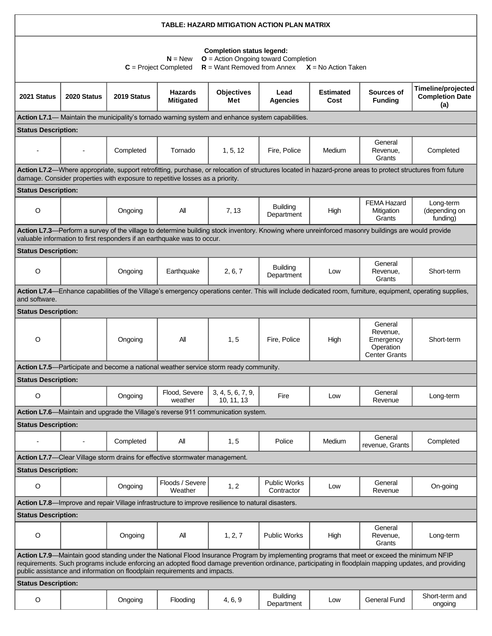| TABLE: HAZARD MITIGATION ACTION PLAN MATRIX                                                                                                                                                                                                                                                                                                                                        |                |             |                                                                                      |                                 |                                   |                          |                                                                       |                                                     |  |  |  |  |
|------------------------------------------------------------------------------------------------------------------------------------------------------------------------------------------------------------------------------------------------------------------------------------------------------------------------------------------------------------------------------------|----------------|-------------|--------------------------------------------------------------------------------------|---------------------------------|-----------------------------------|--------------------------|-----------------------------------------------------------------------|-----------------------------------------------------|--|--|--|--|
| <b>Completion status legend:</b><br>$O =$ Action Ongoing toward Completion<br>$N = New$<br>$R =$ Want Removed from Annex $X =$ No Action Taken<br>$C = Project Completed$                                                                                                                                                                                                          |                |             |                                                                                      |                                 |                                   |                          |                                                                       |                                                     |  |  |  |  |
| 2021 Status                                                                                                                                                                                                                                                                                                                                                                        | 2020 Status    | 2019 Status | <b>Hazards</b><br><b>Mitigated</b>                                                   | <b>Objectives</b><br>Met        | Lead<br><b>Agencies</b>           | <b>Estimated</b><br>Cost | Sources of<br><b>Funding</b>                                          | Timeline/projected<br><b>Completion Date</b><br>(a) |  |  |  |  |
| Action L7.1— Maintain the municipality's tornado warning system and enhance system capabilities.                                                                                                                                                                                                                                                                                   |                |             |                                                                                      |                                 |                                   |                          |                                                                       |                                                     |  |  |  |  |
| <b>Status Description:</b>                                                                                                                                                                                                                                                                                                                                                         |                |             |                                                                                      |                                 |                                   |                          |                                                                       |                                                     |  |  |  |  |
|                                                                                                                                                                                                                                                                                                                                                                                    |                | Completed   | Tornado                                                                              | 1, 5, 12                        | Fire, Police                      | Medium                   | General<br>Revenue,<br>Grants                                         | Completed                                           |  |  |  |  |
| Action L7.2-Where appropriate, support retrofitting, purchase, or relocation of structures located in hazard-prone areas to protect structures from future<br>damage. Consider properties with exposure to repetitive losses as a priority.                                                                                                                                        |                |             |                                                                                      |                                 |                                   |                          |                                                                       |                                                     |  |  |  |  |
| <b>Status Description:</b>                                                                                                                                                                                                                                                                                                                                                         |                |             |                                                                                      |                                 |                                   |                          |                                                                       |                                                     |  |  |  |  |
| O                                                                                                                                                                                                                                                                                                                                                                                  |                | Ongoing     | All                                                                                  | 7, 13                           | <b>Building</b><br>Department     | High                     | <b>FEMA Hazard</b><br>Mitigation<br>Grants                            | Long-term<br>(depending on<br>funding)              |  |  |  |  |
| Action L7.3-Perform a survey of the village to determine building stock inventory. Knowing where unreinforced masonry buildings are would provide<br>valuable information to first responders if an earthquake was to occur.                                                                                                                                                       |                |             |                                                                                      |                                 |                                   |                          |                                                                       |                                                     |  |  |  |  |
| <b>Status Description:</b>                                                                                                                                                                                                                                                                                                                                                         |                |             |                                                                                      |                                 |                                   |                          |                                                                       |                                                     |  |  |  |  |
| O                                                                                                                                                                                                                                                                                                                                                                                  |                | Ongoing     | Earthquake                                                                           | 2, 6, 7                         | <b>Building</b><br>Department     | Low                      | General<br>Revenue,<br>Grants                                         | Short-term                                          |  |  |  |  |
| Action L7.4—Enhance capabilities of the Village's emergency operations center. This will include dedicated room, furniture, equipment, operating supplies,<br>and software.                                                                                                                                                                                                        |                |             |                                                                                      |                                 |                                   |                          |                                                                       |                                                     |  |  |  |  |
| <b>Status Description:</b>                                                                                                                                                                                                                                                                                                                                                         |                |             |                                                                                      |                                 |                                   |                          |                                                                       |                                                     |  |  |  |  |
| O                                                                                                                                                                                                                                                                                                                                                                                  |                | Ongoing     | All                                                                                  | 1, 5                            | Fire, Police                      | High                     | General<br>Revenue,<br>Emergency<br>Operation<br><b>Center Grants</b> | Short-term                                          |  |  |  |  |
|                                                                                                                                                                                                                                                                                                                                                                                    |                |             | Action L7.5-Participate and become a national weather service storm ready community. |                                 |                                   |                          |                                                                       |                                                     |  |  |  |  |
| <b>Status Description:</b>                                                                                                                                                                                                                                                                                                                                                         |                |             |                                                                                      |                                 |                                   |                          |                                                                       |                                                     |  |  |  |  |
| O                                                                                                                                                                                                                                                                                                                                                                                  |                | Ongoing     | Flood, Severe<br>weather                                                             | 3, 4, 5, 6, 7, 9,<br>10, 11, 13 | Fire                              | Low                      | General<br>Revenue                                                    | Long-term                                           |  |  |  |  |
|                                                                                                                                                                                                                                                                                                                                                                                    |                |             | Action L7.6—Maintain and upgrade the Village's reverse 911 communication system.     |                                 |                                   |                          |                                                                       |                                                     |  |  |  |  |
| <b>Status Description:</b>                                                                                                                                                                                                                                                                                                                                                         |                |             |                                                                                      |                                 |                                   |                          |                                                                       |                                                     |  |  |  |  |
|                                                                                                                                                                                                                                                                                                                                                                                    | $\blacksquare$ | Completed   | All                                                                                  | 1, 5                            | Police                            | Medium                   | General<br>revenue, Grants                                            | Completed                                           |  |  |  |  |
|                                                                                                                                                                                                                                                                                                                                                                                    |                |             | Action L7.7-Clear Village storm drains for effective stormwater management.          |                                 |                                   |                          |                                                                       |                                                     |  |  |  |  |
| <b>Status Description:</b>                                                                                                                                                                                                                                                                                                                                                         |                |             |                                                                                      |                                 |                                   |                          |                                                                       |                                                     |  |  |  |  |
| O                                                                                                                                                                                                                                                                                                                                                                                  |                | Ongoing     | Floods / Severe<br>Weather                                                           | 1, 2                            | <b>Public Works</b><br>Contractor | Low                      | General<br>Revenue                                                    | On-going                                            |  |  |  |  |
| Action L7.8—Improve and repair Village infrastructure to improve resilience to natural disasters.                                                                                                                                                                                                                                                                                  |                |             |                                                                                      |                                 |                                   |                          |                                                                       |                                                     |  |  |  |  |
| <b>Status Description:</b>                                                                                                                                                                                                                                                                                                                                                         |                |             |                                                                                      |                                 |                                   |                          |                                                                       |                                                     |  |  |  |  |
| O                                                                                                                                                                                                                                                                                                                                                                                  |                | Ongoing     | All                                                                                  | 1, 2, 7                         | <b>Public Works</b>               | High                     | General<br>Revenue,<br>Grants                                         | Long-term                                           |  |  |  |  |
| Action L7.9—Maintain good standing under the National Flood Insurance Program by implementing programs that meet or exceed the minimum NFIP<br>requirements. Such programs include enforcing an adopted flood damage prevention ordinance, participating in floodplain mapping updates, and providing<br>public assistance and information on floodplain requirements and impacts. |                |             |                                                                                      |                                 |                                   |                          |                                                                       |                                                     |  |  |  |  |
| <b>Status Description:</b>                                                                                                                                                                                                                                                                                                                                                         |                |             |                                                                                      |                                 |                                   |                          |                                                                       |                                                     |  |  |  |  |
| O                                                                                                                                                                                                                                                                                                                                                                                  |                | Ongoing     | Flooding                                                                             | 4, 6, 9                         | <b>Building</b><br>Department     | Low                      | <b>General Fund</b>                                                   | Short-term and<br>ongoing                           |  |  |  |  |